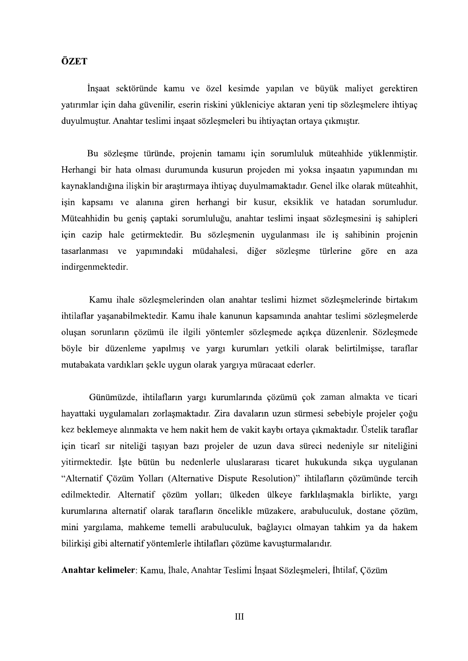## ÖZET

İnşaat sektöründe kamu ve özel kesimde yapılan ve büyük maliyet gerektiren yatırımlar için daha güvenilir, eserin riskini yükleniciye aktaran yeni tip sözleşmelere ihtiyaç duyulmuştur. Anahtar teslimi inşaat sözleşmeleri bu ihtiyaçtan ortaya çıkmıştır.

Bu sözleşme türünde, projenin tamamı için sorumluluk müteahhide yüklenmiştir. Herhangi bir hata olması durumunda kusurun projeden mi yoksa insaatın yapımından mi kaynaklandığına ilişkin bir arastırmaya ihtiyaç duyulmamaktadır. Genel ilke olarak müteahhit, isin kapsamı ve alanına giren herhangi bir kusur, eksiklik ve hatadan sorumludur. Müteahhidin bu geniş çaptaki sorumluluğu, anahtar teslimi inşaat sözleşmesini iş sahipleri için cazip hale getirmektedir. Bu sözleşmenin uygulanması ile iş sahibinin projenin tasarlanması ve yapımındaki müdahalesi, diğer sözleşme türlerine göre en aza indirgenmektedir.

Kamu ihale sözlesmelerinden olan anahtar teslimi hizmet sözlesmelerinde birtakım ihtilaflar yaşanabilmektedir. Kamu ihale kanunun kapsamında anahtar teslimi sözleşmelerde oluşan sorunların çözümü ile ilgili yöntemler sözleşmede açıkça düzenlenir. Sözleşmede böyle bir düzenleme yapılmış ve yargı kurumları yetkili olarak belirtilmisse, taraflar mutabakata vardıkları şekle uygun olarak yargıya müracaat ederler.<br>Günümüzde, ihtilafların yargı kurumlarında çözümü çok zaman almakta ve ticari

hayattaki uygulamaları zorlaşmaktadır. Zira davaların uzun sürmesi sebebiyle projeler çoğu kez beklemeye alınmakta ve hem nakit hem de yakit kaybı ortaya çıkmaktadır. Üstelik taraflar için ticarî sır niteliği taşıyan bazı projeler de uzun dava süreci nedeniyle sır niteliğini yitirmektedir. İşte bütün bu nedenlerle uluslararası ticaret hukukunda sıkça uygulanan "Alternatif Cözüm Yolları (Alternative Dispute Resolution)" ihtilafların çözümünde tercih edilmektedir. Alternatif çözüm yolları; ülkeden ülkeye farklılaşmakla birlikte, yargı kurumlarına alternatif olarak tarafların öncelikle müzakere, arabuluculuk, dostane çözüm, mini yargılama, mahkeme temelli arabuluculuk, bağlayıcı olmayan tahkim ya da hakem bilirkişi gibi alternatif yöntemlerle ihtilafları çözüme kavuşturmalarıdır.

Anahtar kelimeler: Kamu, İhale, Anahtar Teslimi İnşaat Sözleşmeleri, İhtilaf, Çözüm